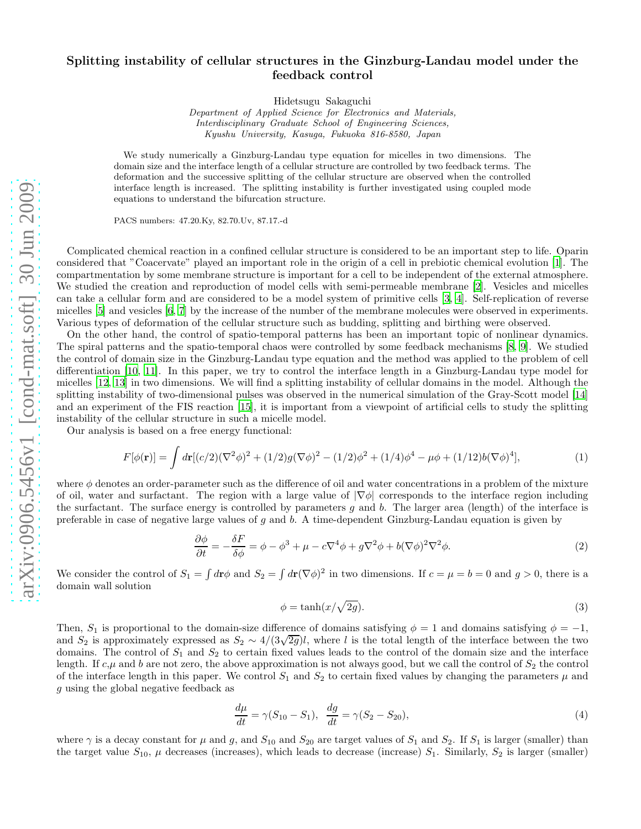## Splitting instability of cellular structures in the Ginzburg-Landau model under the feedback control

Hidetsugu Sakaguchi

Department of Applied Science for Electronics and Materials, Interdisciplinary Graduate School of Engineering Sciences, Kyushu University, Kasuga, Fukuoka 816-8580, Japan

We study numerically a Ginzburg-Landau type equation for micelles in two dimensions. The domain size and the interface length of a cellular structure are controlled by two feedback terms. The deformation and the successive splitting of the cellular structure are observed when the controlled interface length is increased. The splitting instability is further investigated using coupled mode equations to understand the bifurcation structure.

PACS numbers: 47.20.Ky, 82.70.Uv, 87.17.-d

Complicated chemical reaction in a confined cellular structure is considered to be an important step to life. Oparin considered that "Coacervate" played an important role in the origin of a cell in prebiotic chemical evolution [\[1\]](#page-3-0). The compartmentation by some membrane structure is important for a cell to be independent of the external atmosphere. We studied the creation and reproduction of model cells with semi-permeable membrane [\[2](#page-3-1)]. Vesicles and micelles can take a cellular form and are considered to be a model system of primitive cells [\[3,](#page-3-2) [4](#page-3-3)]. Self-replication of reverse micelles [\[5\]](#page-3-4) and vesicles [\[6](#page-3-5), [7](#page-3-6)] by the increase of the number of the membrane molecules were observed in experiments. Various types of deformation of the cellular structure such as budding, splitting and birthing were observed.

On the other hand, the control of spatio-temporal patterns has been an important topic of nonlinear dynamics. The spiral patterns and the spatio-temporal chaos were controlled by some feedback mechanisms [\[8](#page-3-7), [9](#page-3-8)]. We studied the control of domain size in the Ginzburg-Landau type equation and the method was applied to the problem of cell differentiation [\[10,](#page-3-9) [11\]](#page-3-10). In this paper, we try to control the interface length in a Ginzburg-Landau type model for micelles [\[12,](#page-3-11) [13](#page-3-12)] in two dimensions. We will find a splitting instability of cellular domains in the model. Although the splitting instability of two-dimensional pulses was observed in the numerical simulation of the Gray-Scott model [\[14](#page-3-13)] and an experiment of the FIS reaction [\[15\]](#page-3-14), it is important from a viewpoint of artificial cells to study the splitting instability of the cellular structure in such a micelle model.

Our analysis is based on a free energy functional:

$$
F[\phi(\mathbf{r})] = \int d\mathbf{r}[(c/2)(\nabla^2 \phi)^2 + (1/2)g(\nabla \phi)^2 - (1/2)\phi^2 + (1/4)\phi^4 - \mu \phi + (1/12)b(\nabla \phi)^4],\tag{1}
$$

where  $\phi$  denotes an order-parameter such as the difference of oil and water concentrations in a problem of the mixture of oil, water and surfactant. The region with a large value of  $|\nabla \phi|$  corresponds to the interface region including the surfactant. The surface energy is controlled by parameters q and b. The larger area (length) of the interface is preferable in case of negative large values of q and b. A time-dependent Ginzburg-Landau equation is given by

$$
\frac{\partial \phi}{\partial t} = -\frac{\delta F}{\delta \phi} = \phi - \phi^3 + \mu - c\nabla^4 \phi + g\nabla^2 \phi + b(\nabla \phi)^2 \nabla^2 \phi.
$$
\n(2)

We consider the control of  $S_1 = \int d\mathbf{r} \phi$  and  $S_2 = \int d\mathbf{r} (\nabla \phi)^2$  in two dimensions. If  $c = \mu = b = 0$  and  $g > 0$ , there is a domain wall solution

$$
\phi = \tanh(x/\sqrt{2g}).\tag{3}
$$

Then,  $S_1$  is proportional to the domain-size difference of domains satisfying  $\phi = 1$  and domains satisfying  $\phi = -1$ , and  $S_2$  is approximately expressed as  $S_2 \sim 4/(3\sqrt{2g})l$ , where l is the total length of the interface between the two domains. The control of  $S_1$  and  $S_2$  to certain fixed values leads to the control of the domain size and the interface length. If  $c,\mu$  and b are not zero, the above approximation is not always good, but we call the control of  $S_2$  the control of the interface length in this paper. We control  $S_1$  and  $S_2$  to certain fixed values by changing the parameters  $\mu$  and g using the global negative feedback as

$$
\frac{d\mu}{dt} = \gamma(S_{10} - S_1), \quad \frac{dg}{dt} = \gamma(S_{2} - S_{20}),\tag{4}
$$

where  $\gamma$  is a decay constant for  $\mu$  and  $g$ , and  $S_{10}$  and  $S_{20}$  are target values of  $S_1$  and  $S_2$ . If  $S_1$  is larger (smaller) than the target value  $S_{10}$ ,  $\mu$  decreases (increases), which leads to decrease (increase)  $S_1$ . Similarly,  $S_2$  is larger (smaller)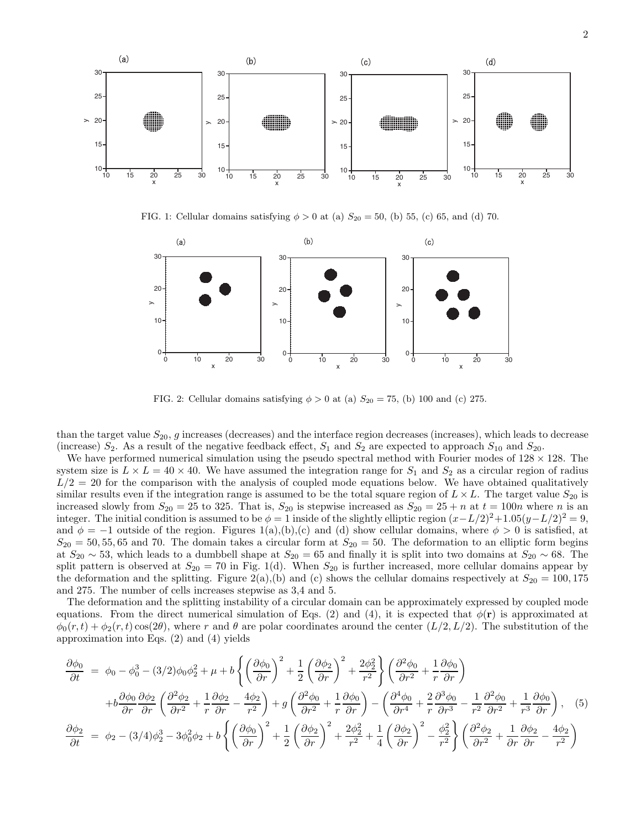

FIG. 1: Cellular domains satisfying  $\phi > 0$  at (a)  $S_{20} = 50$ , (b) 55, (c) 65, and (d) 70.



FIG. 2: Cellular domains satisfying  $\phi > 0$  at (a)  $S_{20} = 75$ , (b) 100 and (c) 275.

than the target value  $S_{20}$ , g increases (decreases) and the interface region decreases (increases), which leads to decrease (increase)  $S_2$ . As a result of the negative feedback effect,  $S_1$  and  $S_2$  are expected to approach  $S_{10}$  and  $S_{20}$ .

We have performed numerical simulation using the pseudo spectral method with Fourier modes of  $128 \times 128$ . The system size is  $L \times L = 40 \times 40$ . We have assumed the integration range for  $S_1$  and  $S_2$  as a circular region of radius  $L/2 = 20$  for the comparison with the analysis of coupled mode equations below. We have obtained qualitatively similar results even if the integration range is assumed to be the total square region of  $L \times L$ . The target value  $S_{20}$  is increased slowly from  $S_{20} = 25$  to 325. That is,  $S_{20}$  is stepwise increased as  $S_{20} = 25 + n$  at  $t = 100n$  where n is an integer. The initial condition is assumed to be  $\phi = 1$  inside of the slightly elliptic region  $(x - L/2)^2 + 1.05(y - L/2)^2 = 9$ , and  $\phi = -1$  outside of the region. Figures 1(a),(b),(c) and (d) show cellular domains, where  $\phi > 0$  is satisfied, at  $S_{20} = 50, 55, 65$  and 70. The domain takes a circular form at  $S_{20} = 50$ . The deformation to an elliptic form begins at  $S_{20} \sim 53$ , which leads to a dumbbell shape at  $S_{20} = 65$  and finally it is split into two domains at  $S_{20} \sim 68$ . The split pattern is observed at  $S_{20} = 70$  in Fig. 1(d). When  $S_{20}$  is further increased, more cellular domains appear by the deformation and the splitting. Figure 2(a),(b) and (c) shows the cellular domains respectively at  $S_{20} = 100, 175$ and 275. The number of cells increases stepwise as 3,4 and 5.

The deformation and the splitting instability of a circular domain can be approximately expressed by coupled mode equations. From the direct numerical simulation of Eqs. (2) and (4), it is expected that  $\phi(\mathbf{r})$  is approximated at  $\phi_0(r,t) + \phi_2(r,t) \cos(2\theta)$ , where r and  $\theta$  are polar coordinates around the center  $(L/2, L/2)$ . The substitution of the approximation into Eqs. (2) and (4) yields

$$
\frac{\partial \phi_0}{\partial t} = \phi_0 - \phi_0^3 - (3/2)\phi_0\phi_2^2 + \mu + b\left\{ \left(\frac{\partial \phi_0}{\partial r}\right)^2 + \frac{1}{2}\left(\frac{\partial \phi_2}{\partial r}\right)^2 + \frac{2\phi_2^2}{r^2} \right\} \left(\frac{\partial^2 \phi_0}{\partial r^2} + \frac{1}{r}\frac{\partial \phi_0}{\partial r} \right) \n+ b\frac{\partial \phi_0}{\partial r} \frac{\partial \phi_2}{\partial r} \left(\frac{\partial^2 \phi_2}{\partial r^2} + \frac{1}{r}\frac{\partial \phi_2}{\partial r} - \frac{4\phi_2}{r^2}\right) + g\left(\frac{\partial^2 \phi_0}{\partial r^2} + \frac{1}{r}\frac{\partial \phi_0}{\partial r}\right) - \left(\frac{\partial^4 \phi_0}{\partial r^4} + \frac{2}{r}\frac{\partial^3 \phi_0}{\partial r^3} - \frac{1}{r^2}\frac{\partial^2 \phi_0}{\partial r^2} + \frac{1}{r^3}\frac{\partial \phi_0}{\partial r} \right), \quad (5)
$$
\n
$$
\frac{\partial \phi_2}{\partial t} = \phi_2 - (3/4)\phi_2^3 - 3\phi_0^2\phi_2 + b\left\{ \left(\frac{\partial \phi_0}{\partial r}\right)^2 + \frac{1}{2}\left(\frac{\partial \phi_2}{\partial r}\right)^2 + \frac{2\phi_2^2}{r^2} + \frac{1}{4}\left(\frac{\partial \phi_2}{\partial r}\right)^2 - \frac{\phi_2^2}{r^2} \right\} \left(\frac{\partial^2 \phi_2}{\partial r^2} + \frac{1}{\partial r}\frac{\partial \phi_2}{\partial r} - \frac{4\phi_2}{r^2} \right)
$$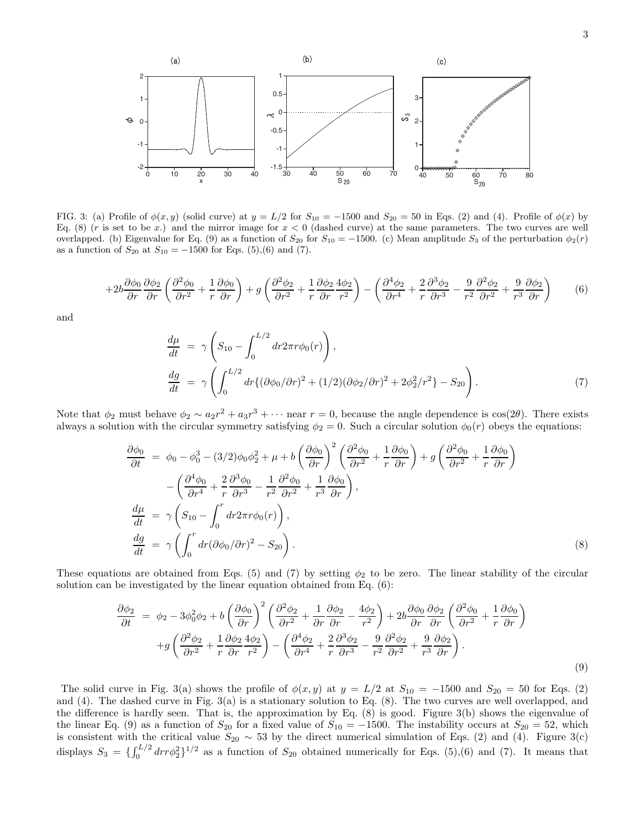

FIG. 3: (a) Profile of  $\phi(x, y)$  (solid curve) at  $y = L/2$  for  $S_{10} = -1500$  and  $S_{20} = 50$  in Eqs. (2) and (4). Profile of  $\phi(x)$  by Eq. (8) (r is set to be x.) and the mirror image for  $x < 0$  (dashed curve) at the same parameters. The two curves are well overlapped. (b) Eigenvalue for Eq. (9) as a function of  $S_{20}$  for  $S_{10} = -1500$ . (c) Mean amplitude  $S_3$  of the perturbation  $\phi_2(r)$ as a function of  $S_{20}$  at  $S_{10} = -1500$  for Eqs. (5),(6) and (7).

$$
+2b\frac{\partial\phi_0}{\partial r}\frac{\partial\phi_2}{\partial r}\left(\frac{\partial^2\phi_0}{\partial r^2}+\frac{1}{r}\frac{\partial\phi_0}{\partial r}\right)+g\left(\frac{\partial^2\phi_2}{\partial r^2}+\frac{1}{r}\frac{\partial\phi_2}{\partial r}\frac{4\phi_2}{r^2}\right)-\left(\frac{\partial^4\phi_2}{\partial r^4}+\frac{2}{r}\frac{\partial^3\phi_2}{\partial r^3}-\frac{9}{r^2}\frac{\partial^2\phi_2}{\partial r^2}+\frac{9}{r^3}\frac{\partial\phi_2}{\partial r}\right) (6)
$$

and

$$
\frac{d\mu}{dt} = \gamma \left( S_{10} - \int_0^{L/2} dr 2\pi r \phi_0(r) \right),
$$
\n
$$
\frac{dg}{dt} = \gamma \left( \int_0^{L/2} dr \{ (\partial \phi_0 / \partial r)^2 + (1/2)(\partial \phi_2 / \partial r)^2 + 2\phi_2^2 / r^2 \} - S_{20} \right).
$$
\n(7)

Note that  $\phi_2$  must behave  $\phi_2 \sim a_2 r^2 + a_3 r^3 + \cdots$  near  $r = 0$ , because the angle dependence is  $\cos(2\theta)$ . There exists always a solution with the circular symmetry satisfying  $\phi_2 = 0$ . Such a circular solution  $\phi_0(r)$  obeys the equations:

$$
\frac{\partial \phi_0}{\partial t} = \phi_0 - \phi_0^3 - (3/2)\phi_0 \phi_2^2 + \mu + b \left(\frac{\partial \phi_0}{\partial r}\right)^2 \left(\frac{\partial^2 \phi_0}{\partial r^2} + \frac{1}{r} \frac{\partial \phi_0}{\partial r}\right) + g \left(\frac{\partial^2 \phi_0}{\partial r^2} + \frac{1}{r} \frac{\partial \phi_0}{\partial r}\right) \n- \left(\frac{\partial^4 \phi_0}{\partial r^4} + \frac{2}{r} \frac{\partial^3 \phi_0}{\partial r^3} - \frac{1}{r^2} \frac{\partial^2 \phi_0}{\partial r^2} + \frac{1}{r^3} \frac{\partial \phi_0}{\partial r}\right), \n\frac{d\mu}{dt} = \gamma \left(S_{10} - \int_0^r dr 2\pi r \phi_0(r)\right), \n\frac{dg}{dt} = \gamma \left(\int_0^r dr (\partial \phi_0/\partial r)^2 - S_{20}\right).
$$
\n(8)

These equations are obtained from Eqs. (5) and (7) by setting  $\phi_2$  to be zero. The linear stability of the circular solution can be investigated by the linear equation obtained from Eq.  $(6)$ :

$$
\frac{\partial \phi_2}{\partial t} = \phi_2 - 3\phi_0^2 \phi_2 + b \left( \frac{\partial \phi_0}{\partial r} \right)^2 \left( \frac{\partial^2 \phi_2}{\partial r^2} + \frac{1}{\partial r} \frac{\partial \phi_2}{\partial r} - \frac{4\phi_2}{r^2} \right) + 2b \frac{\partial \phi_0}{\partial r} \frac{\partial \phi_2}{\partial r} \left( \frac{\partial^2 \phi_0}{\partial r^2} + \frac{1}{r} \frac{\partial \phi_0}{\partial r} \right) \n+ g \left( \frac{\partial^2 \phi_2}{\partial r^2} + \frac{1}{r} \frac{\partial \phi_2}{\partial r} \frac{4\phi_2}{r^2} \right) - \left( \frac{\partial^4 \phi_2}{\partial r^4} + \frac{2}{r} \frac{\partial^3 \phi_2}{\partial r^3} - \frac{9}{r^2} \frac{\partial^2 \phi_2}{\partial r^2} + \frac{9}{r^3} \frac{\partial \phi_2}{\partial r} \right).
$$
\n(9)

The solid curve in Fig. 3(a) shows the profile of  $\phi(x, y)$  at  $y = L/2$  at  $S_{10} = -1500$  and  $S_{20} = 50$  for Eqs. (2) and  $(4)$ . The dashed curve in Fig. 3(a) is a stationary solution to Eq. (8). The two curves are well overlapped, and the difference is hardly seen. That is, the approximation by Eq.  $(8)$  is good. Figure 3(b) shows the eigenvalue of the linear Eq. (9) as a function of  $S_{20}$  for a fixed value of  $S_{10} = -1500$ . The instability occurs at  $S_{20} = 52$ , which is consistent with the critical value  $S_{20} \sim 53$  by the direct numerical simulation of Eqs. (2) and (4). Figure 3(c) displays  $S_3 = \{ \int_0^{L/2} dr r \phi_2^2 \}^{1/2}$  as a function of  $S_{20}$  obtained numerically for Eqs. (5),(6) and (7). It means that